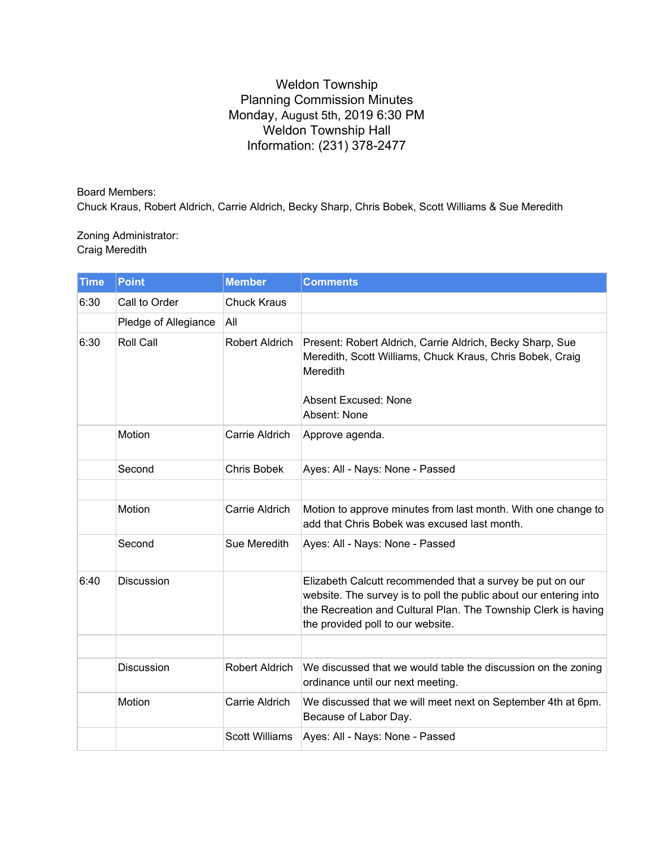## Weldon Township Planning Commission Minutes Monday, August 5th, 2019 6:30 PM Weldon Township Hall Information: (231) 378-2477

Board Members: Chuck Kraus, Robert Aldrich, Carrie Aldrich, Becky Sharp, Chris Bobek, Scott Williams & Sue Meredith

Zoning Administrator: Craig Meredith

| <b>Time</b> | <b>Point</b>         | <b>Member</b>         | <b>Comments</b>                                                                                                                                                                                                                       |
|-------------|----------------------|-----------------------|---------------------------------------------------------------------------------------------------------------------------------------------------------------------------------------------------------------------------------------|
| 6:30        | Call to Order        | <b>Chuck Kraus</b>    |                                                                                                                                                                                                                                       |
|             | Pledge of Allegiance | All                   |                                                                                                                                                                                                                                       |
| 6:30        | Roll Call            | Robert Aldrich        | Present: Robert Aldrich, Carrie Aldrich, Becky Sharp, Sue<br>Meredith, Scott Williams, Chuck Kraus, Chris Bobek, Craig<br>Meredith<br><b>Absent Excused: None</b><br>Absent: None                                                     |
|             | Motion               | Carrie Aldrich        | Approve agenda.                                                                                                                                                                                                                       |
|             | Second               | Chris Bobek           | Ayes: All - Nays: None - Passed                                                                                                                                                                                                       |
|             |                      |                       |                                                                                                                                                                                                                                       |
|             | Motion               | Carrie Aldrich        | Motion to approve minutes from last month. With one change to<br>add that Chris Bobek was excused last month.                                                                                                                         |
|             | Second               | Sue Meredith          | Ayes: All - Nays: None - Passed                                                                                                                                                                                                       |
| 6:40        | Discussion           |                       | Elizabeth Calcutt recommended that a survey be put on our<br>website. The survey is to poll the public about our entering into<br>the Recreation and Cultural Plan. The Township Clerk is having<br>the provided poll to our website. |
|             |                      |                       |                                                                                                                                                                                                                                       |
|             | <b>Discussion</b>    | Robert Aldrich        | We discussed that we would table the discussion on the zoning<br>ordinance until our next meeting.                                                                                                                                    |
|             | Motion               | Carrie Aldrich        | We discussed that we will meet next on September 4th at 6pm.<br>Because of Labor Day.                                                                                                                                                 |
|             |                      | <b>Scott Williams</b> | Ayes: All - Nays: None - Passed                                                                                                                                                                                                       |